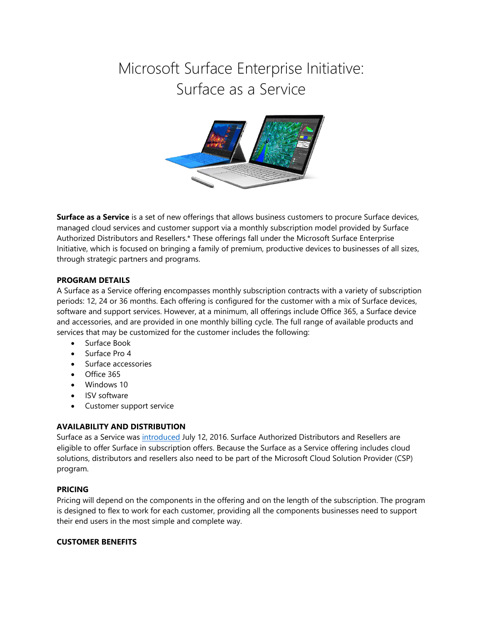# Microsoft Surface Enterprise Initiative: Surface as a Service



**Surface as a Service** is a set of new offerings that allows business customers to procure Surface devices, managed cloud services and customer support via a monthly subscription model provided by Surface Authorized Distributors and Resellers.\* These offerings fall under the Microsoft Surface Enterprise Initiative, which is focused on bringing a family of premium, productive devices to businesses of all sizes, through strategic partners and programs.

#### **PROGRAM DETAILS**

A Surface as a Service offering encompasses monthly subscription contracts with a variety of subscription periods: 12, 24 or 36 months. Each offering is configured for the customer with a mix of Surface devices, software and support services. However, at a minimum, all offerings include Office 365, a Surface device and accessories, and are provided in one monthly billing cycle. The full range of available products and services that may be customized for the customer includes the following:

- Surface Book
- Surface Pro 4
- Surface accessories
- Office 365
- Windows 10
- ISV software
- Customer support service

## **AVAILABILITY AND DISTRIBUTION**

Surface as a Service was [introduced](https://blogs.windows.com/windowsexperience/2016/07/12/announcing-new-subscription-options-for-windows-10-and-surface-for-businesses/) July 12, 2016. Surface Authorized Distributors and Resellers are eligible to offer Surface in subscription offers. Because the Surface as a Service offering includes cloud solutions, distributors and resellers also need to be part of the Microsoft Cloud Solution Provider (CSP) program.

#### **PRICING**

Pricing will depend on the components in the offering and on the length of the subscription. The program is designed to flex to work for each customer, providing all the components businesses need to support their end users in the most simple and complete way.

## **CUSTOMER BENEFITS**